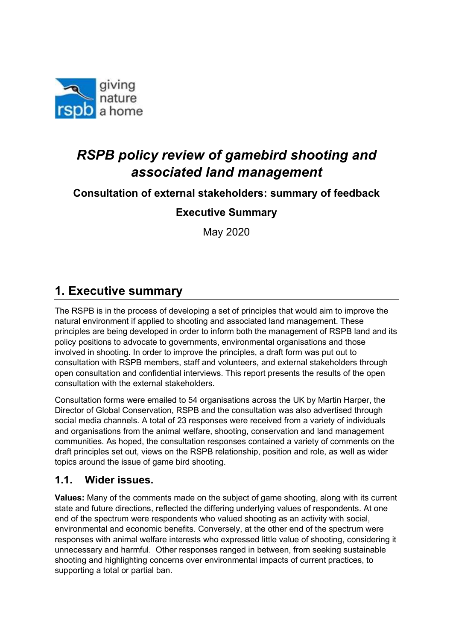

# RSPB policy review of gamebird shooting and associated land management

## Consultation of external stakeholders: summary of feedback

## Executive Summary

May 2020

## 1. Executive summary

The RSPB is in the process of developing a set of principles that would aim to improve the natural environment if applied to shooting and associated land management. These principles are being developed in order to inform both the management of RSPB land and its policy positions to advocate to governments, environmental organisations and those involved in shooting. In order to improve the principles, a draft form was put out to consultation with RSPB members, staff and volunteers, and external stakeholders through open consultation and confidential interviews. This report presents the results of the open consultation with the external stakeholders.

Consultation forms were emailed to 54 organisations across the UK by Martin Harper, the Director of Global Conservation, RSPB and the consultation was also advertised through social media channels. A total of 23 responses were received from a variety of individuals and organisations from the animal welfare, shooting, conservation and land management communities. As hoped, the consultation responses contained a variety of comments on the draft principles set out, views on the RSPB relationship, position and role, as well as wider topics around the issue of game bird shooting.

#### 1.1. Wider issues.

Values: Many of the comments made on the subject of game shooting, along with its current state and future directions, reflected the differing underlying values of respondents. At one end of the spectrum were respondents who valued shooting as an activity with social, environmental and economic benefits. Conversely, at the other end of the spectrum were responses with animal welfare interests who expressed little value of shooting, considering it unnecessary and harmful. Other responses ranged in between, from seeking sustainable shooting and highlighting concerns over environmental impacts of current practices, to supporting a total or partial ban.